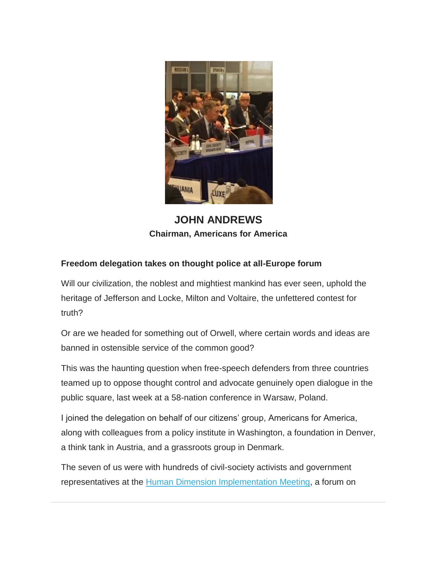

**JOHN ANDREWS Chairman, Americans for America** 

## **Freedom delegation takes on thought police at all-Europe forum**

Will our civilization, the noblest and mightiest mankind has ever seen, uphold the heritage of Jefferson and Locke, Milton and Voltaire, the unfettered contest for truth?

Or are we headed for something out of Orwell, where certain words and ideas are banned in ostensible service of the common good?

This was the haunting question when free-speech defenders from three countries teamed up to oppose thought control and advocate genuinely open dialogue in the public square, last week at a 58-nation conference in Warsaw, Poland.

I joined the delegation on behalf of our citizens' group, Americans for America, along with colleagues from a policy institute in Washington, a foundation in Denver, a think tank in Austria, and a grassroots group in Denmark.

The seven of us were with hundreds of civil-society activists and government representatives at the [Human Dimension Implementation Meeting,](http://backboneamerica.us13.list-manage1.com/track/click?u=7100c74426c71e38fc1e16eac&id=29001e25bb&e=c48df37242) a forum on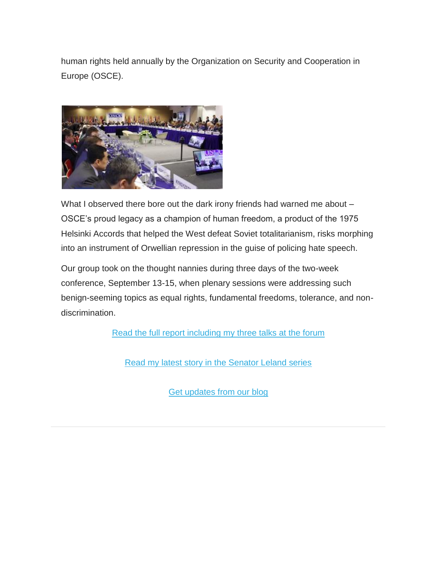human rights held annually by the Organization on Security and Cooperation in Europe (OSCE).



What I observed there bore out the dark irony friends had warned me about -OSCE's proud legacy as a champion of human freedom, a product of the 1975 Helsinki Accords that helped the West defeat Soviet totalitarianism, risks morphing into an instrument of Orwellian repression in the guise of policing hate speech.

Our group took on the thought nannies during three days of the two-week conference, September 13-15, when plenary sessions were addressing such benign-seeming topics as equal rights, fundamental freedoms, tolerance, and nondiscrimination.

[Read the full report including my three talks at the forum](http://backboneamerica.us13.list-manage.com/track/click?u=7100c74426c71e38fc1e16eac&id=4638ae2dc8&e=c48df37242)

[Read my latest story in the Senator Leland series](http://backboneamerica.us13.list-manage.com/track/click?u=7100c74426c71e38fc1e16eac&id=7b515ec76a&e=c48df37242)

[Get updates from our blog](http://backboneamerica.us13.list-manage.com/track/click?u=7100c74426c71e38fc1e16eac&id=9d5afcba17&e=c48df37242)